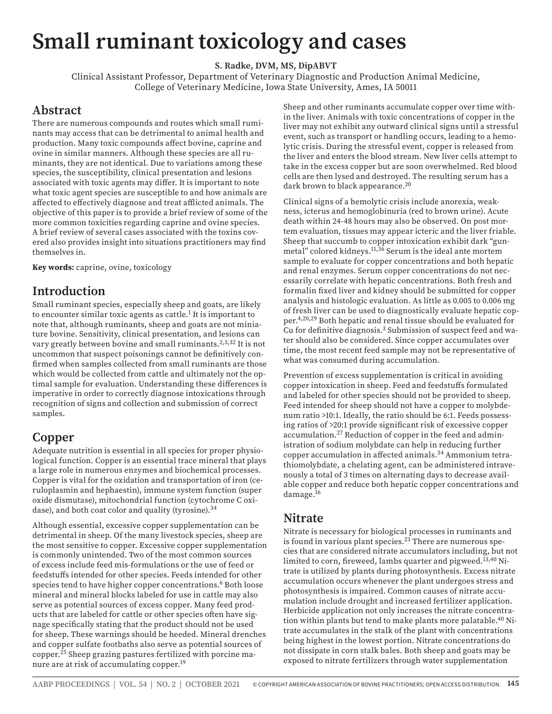# **Small ruminant toxicology and cases**

**S. Radke, DVM, MS, DipABVT**

Clinical Assistant Professor, Department of Veterinary Diagnostic and Production Animal Medicine, College of Veterinary Medicine, Iowa State University, Ames, IA 50011

#### **Abstract**

There are numerous compounds and routes which small ruminants may access that can be detrimental to animal health and production. Many toxic compounds affect bovine, caprine and ovine in similar manners. Although these species are all ruminants, they are not identical. Due to variations among these species, the susceptibility, clinical presentation and lesions associated with toxic agents may differ. It is important to note what toxic agent species are susceptible to and how animals are affected to effectively diagnose and treat afflicted animals. The objective of this paper is to provide a brief review of some of the more common toxicities regarding caprine and ovine species. A brief review of several cases associated with the toxins covered also provides insight into situations practitioners may find themselves in.

**Key words:** caprine, ovine, toxicology

## **Introduction**

Small ruminant species, especially sheep and goats, are likely to encounter similar toxic agents as cattle. $^1$  It is important to note that, although ruminants, sheep and goats are not miniature bovine. Sensitivity, clinical presentation, and lesions can vary greatly between bovine and small ruminants.<sup>2,3,32</sup> It is not uncommon that suspect poisonings cannot be definitively confirmed when samples collected from small ruminants are those which would be collected from cattle and ultimately not the optimal sample for evaluation. Understanding these differences is imperative in order to correctly diagnose intoxications through recognition of signs and collection and submission of correct samples.

## **Copper**

Adequate nutrition is essential in all species for proper physiological function. Copper is an essential trace mineral that plays a large role in numerous enzymes and biochemical processes. Copper is vital for the oxidation and transportation of iron (ceruloplasmin and hephaestin), immune system function (super oxide dismutase), mitochondrial function (cytochrome C oxidase), and both coat color and quality (tyrosine).<sup>34</sup>

Although essential, excessive copper supplementation can be detrimental in sheep. Of the many livestock species, sheep are the most sensitive to copper. Excessive copper supplementation is commonly unintended. Two of the most common sources of excess include feed mis-formulations or the use of feed or feedstuffs intended for other species. Feeds intended for other species tend to have higher copper concentrations.<sup>6</sup> Both loose mineral and mineral blocks labeled for use in cattle may also serve as potential sources of excess copper. Many feed products that are labeled for cattle or other species often have signage specifically stating that the product should not be used for sheep. These warnings should be heeded. Mineral drenches and copper sulfate footbaths also serve as potential sources of copper.25 Sheep grazing pastures fertilized with porcine manure are at risk of accumulating copper.<sup>19</sup>

Sheep and other ruminants accumulate copper over time within the liver. Animals with toxic concentrations of copper in the liver may not exhibit any outward clinical signs until a stressful event, such as transport or handling occurs, leading to a hemolytic crisis. During the stressful event, copper is released from the liver and enters the blood stream. New liver cells attempt to take in the excess copper but are soon overwhelmed. Red blood cells are then lysed and destroyed. The resulting serum has a dark brown to black appearance.<sup>20</sup>

Clinical signs of a hemolytic crisis include anorexia, weakness, icterus and hemoglobinuria (red to brown urine). Acute death within 24-48 hours may also be observed. On post mortem evaluation, tissues may appear icteric and the liver friable. Sheep that succumb to copper intoxication exhibit dark "gunmetal" colored kidneys.<sup>11,36</sup> Serum is the ideal ante mortem sample to evaluate for copper concentrations and both hepatic and renal enzymes. Serum copper concentrations do not necessarily correlate with hepatic concentrations. Both fresh and formalin fixed liver and kidney should be submitted for copper analysis and histologic evaluation. As little as 0.005 to 0.006 mg of fresh liver can be used to diagnostically evaluate hepatic copper.4,20,29 Both hepatic and renal tissue should be evaluated for Cu for definitive diagnosis.3 Submission of suspect feed and water should also be considered. Since copper accumulates over time, the most recent feed sample may not be representative of what was consumed during accumulation.

Prevention of excess supplementation is critical in avoiding copper intoxication in sheep. Feed and feedstuffs formulated and labeled for other species should not be provided to sheep. Feed intended for sheep should not have a copper to molybdenum ratio >10:1. Ideally, the ratio should be 6:1. Feeds possessing ratios of >20:1 provide significant risk of excessive copper accumulation.27 Reduction of copper in the feed and administration of sodium molybdate can help in reducing further copper accumulation in affected animals.34 Ammonium tetrathiomolybdate, a chelating agent, can be administered intravenously a total of 3 times on alternating days to decrease available copper and reduce both hepatic copper concentrations and damage.<sup>16</sup>

#### **Nitrate**

Nitrate is necessary for biological processes in ruminants and is found in various plant species. $^{23}$  There are numerous species that are considered nitrate accumulators including, but not limited to corn, fireweed, lambs quarter and pigweed.<sup>13,40</sup> Nitrate is utilized by plants during photosynthesis. Excess nitrate accumulation occurs whenever the plant undergoes stress and photosynthesis is impaired. Common causes of nitrate accumulation include drought and increased fertilizer application. Herbicide application not only increases the nitrate concentration within plants but tend to make plants more palatable.<sup>40</sup> Nitrate accumulates in the stalk of the plant with concentrations being highest in the lowest portion. Nitrate concentrations do not dissipate in corn stalk bales. Both sheep and goats may be exposed to nitrate fertilizers through water supplementation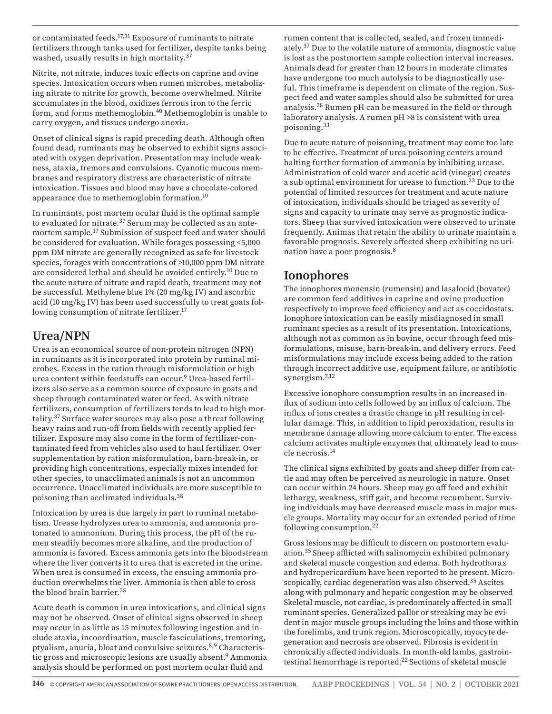or contaminated feeds.17,31 Exposure of ruminants to nitrate fertilizers through tanks used for fertilizer, despite tanks being washed, usually results in high mortality.<sup>37</sup>

Nitrite, not nitrate, induces toxic effects on caprine and ovine species. Intoxication occurs when rumen microbes, metabolizing nitrate to nitrite for growth, become overwhelmed. Nitrite accumulates in the blood, oxidizes ferrous iron to the ferric form, and forms methemoglobin.40 Methemoglobin is unable to carry oxygen, and tissues undergo anoxia.

Onset of clinical signs is rapid preceding death. Although often found dead, ruminants may be observed to exhibit signs associated with oxygen deprivation. Presentation may include weakness, ataxia, tremors and convulsions. Cyanotic mucous membranes and respiratory distress are characteristic of nitrate intoxication. Tissues and blood may have a chocolate-colored appearance due to methemoglobin formation.10

In ruminants, post mortem ocular fluid is the optimal sample to evaluated for nitrate.<sup>37</sup> Serum may be collected as an antemortem sample.17 Submission of suspect feed and water should be considered for evaluation. While forages possessing <5,000 ppm DM nitrate are generally recognized as safe for livestock species, forages with concentrations of >10,000 ppm DM nitrate are considered lethal and should be avoided entirely.10 Due to the acute nature of nitrate and rapid death, treatment may not be successful. Methylene blue 1% (20 mg/kg IV) and ascorbic acid (10 mg/kg IV) has been used successfully to treat goats following consumption of nitrate fertilizer.17

#### **Urea/NPN**

Urea is an economical source of non-protein nitrogen (NPN) in ruminants as it is incorporated into protein by ruminal microbes. Excess in the ration through misformulation or high urea content within feedstuffs can occur.9 Urea-based fertilizers also serve as a common source of exposure in goats and sheep through contaminated water or feed. As with nitrate fertilizers, consumption of fertilizers tends to lead to high mortality.37 Surface water sources may also pose a threat following heavy rains and run-off from fields with recently applied fertilizer. Exposure may also come in the form of fertilizer-contaminated feed from vehicles also used to haul fertilizer. Over supplementation by ration misformulation, barn-break-in, or providing high concentrations, especially mixes intended for other species, to unacclimated animals is not an uncommon occurrence. Unacclimated individuals are more susceptible to poisoning than acclimated individuals.<sup>38</sup>

Intoxication by urea is due largely in part to ruminal metabolism. Urease hydrolyzes urea to ammonia, and ammonia protonated to ammonium. During this process, the pH of the rumen steadily becomes more alkaline, and the production of ammonia is favored. Excess ammonia gets into the bloodstream where the liver converts it to urea that is excreted in the urine. When urea is consumed in excess, the ensuing ammonia production overwhelms the liver. Ammonia is then able to cross the blood brain barrier.<sup>38</sup>

Acute death is common in urea intoxications, and clinical signs may not be observed. Onset of clinical signs observed in sheep may occur in as little as 15 minutes following ingestion and include ataxia, incoordination, muscle fasciculations, tremoring, ptyalism, anuria, bloat and convulsive seizures.8,9 Characteristic gross and microscopic lesions are usually absent.<sup>9</sup> Ammonia analysis should be performed on post mortem ocular fluid and

rumen content that is collected, sealed, and frozen immediately.37 Due to the volatile nature of ammonia, diagnostic value is lost as the postmortem sample collection interval increases. Animals dead for greater than 12 hours in moderate climates have undergone too much autolysis to be diagnostically useful. This timeframe is dependent on climate of the region. Suspect feed and water samples should also be submitted for urea analysis.38 Rumen pH can be measured in the field or through laboratory analysis. A rumen pH >8 is consistent with urea poisoning.<sup>33</sup>

Due to acute nature of poisoning, treatment may come too late to be effective. Treatment of urea poisoning centers around halting further formation of ammonia by inhibiting urease. Administration of cold water and acetic acid (vinegar) creates a sub optimal environment for urease to function.<sup>33</sup> Due to the potential of limited resources for treatment and acute nature of intoxication, individuals should be triaged as severity of signs and capacity to urinate may serve as prognostic indicators. Sheep that survived intoxication were observed to urinate frequently. Animas that retain the ability to urinate maintain a favorable prognosis. Severely affected sheep exhibiting no urination have a poor prognosis.8

## **Ionophores**

The ionophores monensin (rumensin) and lasalocid (bovatec) are common feed additives in caprine and ovine production respectively to improve feed efficiency and act as coccidostats. Ionophore intoxication can be easily misdiagnosed in small ruminant species as a result of its presentation. Intoxications, although not as common as in bovine, occur through feed misformulations, misuse, barn-break-in, and delivery errors. Feed misformulations may include excess being added to the ration through incorrect additive use, equipment failure, or antibiotic synergism.<sup>7,12</sup>

Excessive ionophore consumption results in an increased influx of sodium into cells followed by an influx of calcium. The influx of ions creates a drastic change in pH resulting in cellular damage. This, in addition to lipid peroxidation, results in membrane damage allowing more calcium to enter. The excess calcium activates multiple enzymes that ultimately lead to muscle necrosis.14

The clinical signs exhibited by goats and sheep differ from cattle and may often be perceived as neurologic in nature. Onset can occur within 24 hours. Sheep may go off feed and exhibit lethargy, weakness, stiff gait, and become recumbent. Surviving individuals may have decreased muscle mass in major muscle groups. Mortality may occur for an extended period of time following consumption.<sup>22</sup>

Gross lesions may be difficult to discern on postmortem evaluation.35 Sheep afflicted with salinomycin exhibited pulmonary and skeletal muscle congestion and edema. Both hydrothorax and hydropericardium have been reported to be present. Microscopically, cardiac degeneration was also observed.<sup>35</sup> Ascites along with pulmonary and hepatic congestion may be observed Skeletal muscle, not cardiac, is predominately affected in small ruminant species. Generalized pallor or streaking may be evident in major muscle groups including the loins and those within the forelimbs, and trunk region. Microscopically, myocyte degeneration and necrosis are observed. Fibrosis is evident in chronically affected individuals. In month-old lambs, gastrointestinal hemorrhage is reported.<sup>22</sup> Sections of skeletal muscle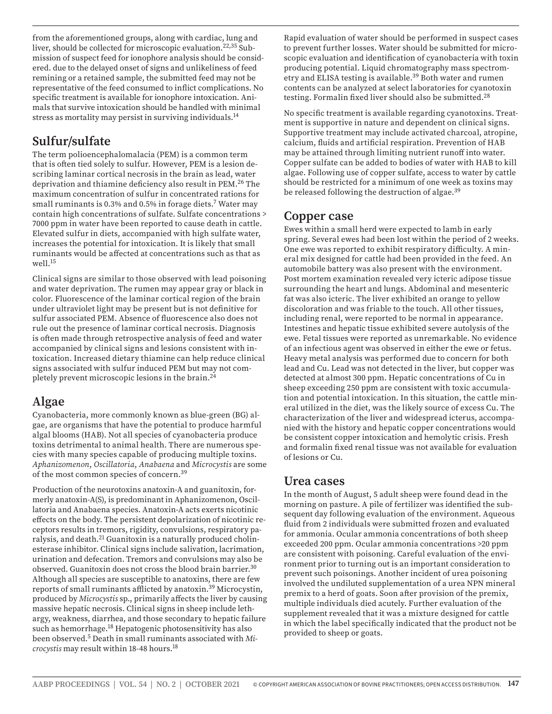from the aforementioned groups, along with cardiac, lung and liver, should be collected for microscopic evaluation.<sup>22,35</sup> Submission of suspect feed for ionophore analysis should be considered. due to the delayed onset of signs and unlikeliness of feed remining or a retained sample, the submitted feed may not be representative of the feed consumed to inflict complications. No specific treatment is available for ionophore intoxication. Animals that survive intoxication should be handled with minimal stress as mortality may persist in surviving individuals.<sup>14</sup>

## **Sulfur/sulfate**

The term polioencephalomalacia (PEM) is a common term that is often tied solely to sulfur. However, PEM is a lesion describing laminar cortical necrosis in the brain as lead, water deprivation and thiamine deficiency also result in PEM.26 The maximum concentration of sulfur in concentrated rations for small ruminants is 0.3% and 0.5% in forage diets.<sup>7</sup> Water may contain high concentrations of sulfate. Sulfate concentrations > 7000 ppm in water have been reported to cause death in cattle. Elevated sulfur in diets, accompanied with high sulfate water, increases the potential for intoxication. It is likely that small ruminants would be affected at concentrations such as that as well.<sup>15</sup>

Clinical signs are similar to those observed with lead poisoning and water deprivation. The rumen may appear gray or black in color. Fluorescence of the laminar cortical region of the brain under ultraviolet light may be present but is not definitive for sulfur associated PEM. Absence of fluorescence also does not rule out the presence of laminar cortical necrosis. Diagnosis is often made through retrospective analysis of feed and water accompanied by clinical signs and lesions consistent with intoxication. Increased dietary thiamine can help reduce clinical signs associated with sulfur induced PEM but may not completely prevent microscopic lesions in the brain.24

## **Algae**

Cyanobacteria, more commonly known as blue-green (BG) algae, are organisms that have the potential to produce harmful algal blooms (HAB). Not all species of cyanobacteria produce toxins detrimental to animal health. There are numerous species with many species capable of producing multiple toxins. *Aphanizomenon*, *Oscillatoria*, *Anabaena* and *Microcystis* are some of the most common species of concern.<sup>39</sup>

Production of the neurotoxins anatoxin-A and guanitoxin, formerly anatoxin-A(S), is predominant in Aphanizomenon, Oscillatoria and Anabaena species. Anatoxin-A acts exerts nicotinic effects on the body. The persistent depolarization of nicotinic receptors results in tremors, rigidity, convulsions, respiratory paralysis, and death.<sup>21</sup> Guanitoxin is a naturally produced cholinesterase inhibitor. Clinical signs include salivation, lacrimation, urination and defecation. Tremors and convulsions may also be observed. Guanitoxin does not cross the blood brain barrier.30 Although all species are susceptible to anatoxins, there are few reports of small ruminants afflicted by anatoxin.<sup>39</sup> Microcystin, produced by *Microcystis* sp., primarily affects the liver by causing massive hepatic necrosis. Clinical signs in sheep include lethargy, weakness, diarrhea, and those secondary to hepatic failure such as hemorrhage.<sup>18</sup> Hepatogenic photosensitivity has also been observed.5 Death in small ruminants associated with *Microcystis* may result within 18-48 hours.18

Rapid evaluation of water should be performed in suspect cases to prevent further losses. Water should be submitted for microscopic evaluation and identification of cyanobacteria with toxin producing potential. Liquid chromatography mass spectrometry and ELISA testing is available.39 Both water and rumen contents can be analyzed at select laboratories for cyanotoxin testing. Formalin fixed liver should also be submitted.28

No specific treatment is available regarding cyanotoxins. Treatment is supportive in nature and dependent on clinical signs. Supportive treatment may include activated charcoal, atropine, calcium, fluids and artificial respiration. Prevention of HAB may be attained through limiting nutrient runoff into water. Copper sulfate can be added to bodies of water with HAB to kill algae. Following use of copper sulfate, access to water by cattle should be restricted for a minimum of one week as toxins may be released following the destruction of algae.<sup>39</sup>

## **Copper case**

Ewes within a small herd were expected to lamb in early spring. Several ewes had been lost within the period of 2 weeks. One ewe was reported to exhibit respiratory difficulty. A mineral mix designed for cattle had been provided in the feed. An automobile battery was also present with the environment. Post mortem examination revealed very icteric adipose tissue surrounding the heart and lungs. Abdominal and mesenteric fat was also icteric. The liver exhibited an orange to yellow discoloration and was friable to the touch. All other tissues, including renal, were reported to be normal in appearance. Intestines and hepatic tissue exhibited severe autolysis of the ewe. Fetal tissues were reported as unremarkable. No evidence of an infectious agent was observed in either the ewe or fetus. Heavy metal analysis was performed due to concern for both lead and Cu. Lead was not detected in the liver, but copper was detected at almost 300 ppm. Hepatic concentrations of Cu in sheep exceeding 250 ppm are consistent with toxic accumulation and potential intoxication. In this situation, the cattle mineral utilized in the diet, was the likely source of excess Cu. The characterization of the liver and widespread icterus, accompanied with the history and hepatic copper concentrations would be consistent copper intoxication and hemolytic crisis. Fresh and formalin fixed renal tissue was not available for evaluation of lesions or Cu.

## **Urea cases**

In the month of August, 5 adult sheep were found dead in the morning on pasture. A pile of fertilizer was identified the subsequent day following evaluation of the environment. Aqueous fluid from 2 individuals were submitted frozen and evaluated for ammonia. Ocular ammonia concentrations of both sheep exceeded 200 ppm. Ocular ammonia concentrations >20 ppm are consistent with poisoning. Careful evaluation of the environment prior to turning out is an important consideration to prevent such poisonings. Another incident of urea poisoning involved the undiluted supplementation of a urea NPN mineral premix to a herd of goats. Soon after provision of the premix, multiple individuals died acutely. Further evaluation of the supplement revealed that it was a mixture designed for cattle in which the label specifically indicated that the product not be provided to sheep or goats.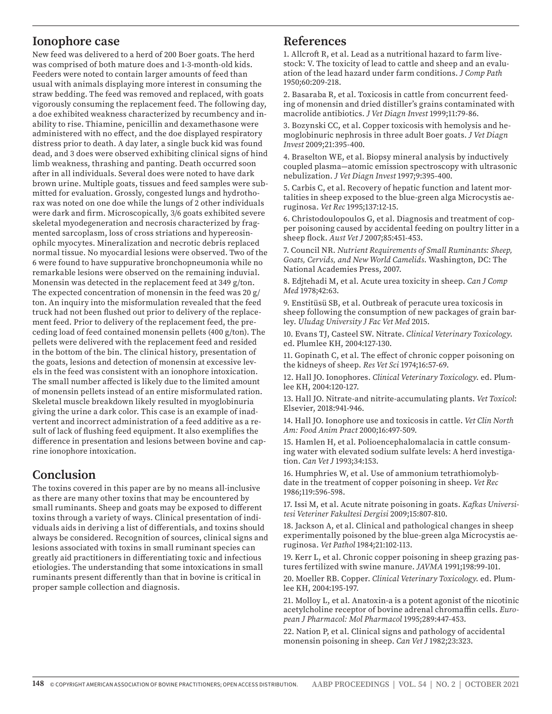#### **Ionophore case**

New feed was delivered to a herd of 200 Boer goats. The herd was comprised of both mature does and 1-3-month-old kids. Feeders were noted to contain larger amounts of feed than usual with animals displaying more interest in consuming the straw bedding. The feed was removed and replaced, with goats vigorously consuming the replacement feed. The following day, a doe exhibited weakness characterized by recumbency and inability to rise. Thiamine, penicillin and dexamethasone were administered with no effect, and the doe displayed respiratory distress prior to death. A day later, a single buck kid was found dead, and 3 does were observed exhibiting clinical signs of hind limb weakness, thrashing and panting. Death occurred soon after in all individuals. Several does were noted to have dark brown urine. Multiple goats, tissues and feed samples were submitted for evaluation. Grossly, congested lungs and hydrothorax was noted on one doe while the lungs of 2 other individuals were dark and firm. Microscopically, 3/6 goats exhibited severe skeletal myodegeneration and necrosis characterized by fragmented sarcoplasm, loss of cross striations and hypereosinophilc myocytes. Mineralization and necrotic debris replaced normal tissue. No myocardial lesions were observed. Two of the 6 were found to have suppurative bronchopneumonia while no remarkable lesions were observed on the remaining induvial. Monensin was detected in the replacement feed at 349 g/ton. The expected concentration of monensin in the feed was 20 g/ ton. An inquiry into the misformulation revealed that the feed truck had not been flushed out prior to delivery of the replacement feed. Prior to delivery of the replacement feed, the preceding load of feed contained monensin pellets (400 g/ton). The pellets were delivered with the replacement feed and resided in the bottom of the bin. The clinical history, presentation of the goats, lesions and detection of monensin at excessive levels in the feed was consistent with an ionophore intoxication. The small number affected is likely due to the limited amount of monensin pellets instead of an entire misformulated ration. Skeletal muscle breakdown likely resulted in myoglobinuria giving the urine a dark color. This case is an example of inadvertent and incorrect administration of a feed additive as a result of lack of flushing feed equipment. It also exemplifies the difference in presentation and lesions between bovine and caprine ionophore intoxication.

#### **Conclusion**

The toxins covered in this paper are by no means all-inclusive as there are many other toxins that may be encountered by small ruminants. Sheep and goats may be exposed to different toxins through a variety of ways. Clinical presentation of individuals aids in deriving a list of differentials, and toxins should always be considered. Recognition of sources, clinical signs and lesions associated with toxins in small ruminant species can greatly aid practitioners in differentiating toxic and infectious etiologies. The understanding that some intoxications in small ruminants present differently than that in bovine is critical in proper sample collection and diagnosis.

#### **References**

1. Allcroft R, et al. Lead as a nutritional hazard to farm livestock: V. The toxicity of lead to cattle and sheep and an evaluation of the lead hazard under farm conditions. *J Comp Path* 1950;60:209-218.

2. Basaraba R, et al. Toxicosis in cattle from concurrent feeding of monensin and dried distiller's grains contaminated with macrolide antibiotics. *J Vet Diagn Invest* 1999;11:79-86.

3. Bozynski CC, et al. Copper toxicosis with hemolysis and hemoglobinuric nephrosis in three adult Boer goats. *J Vet Diagn Invest* 2009;21:395-400.

4. Braselton WE, et al. Biopsy mineral analysis by inductively coupled plasma—atomic emission spectroscopy with ultrasonic nebulization. *J Vet Diagn Invest* 1997;9:395-400.

5. Carbis C, et al. Recovery of hepatic function and latent mortalities in sheep exposed to the blue-green alga Microcystis aeruginosa. *Vet Rec* 1995;137:12-15.

6. Christodoulopoulos G, et al. Diagnosis and treatment of copper poisoning caused by accidental feeding on poultry litter in a sheep flock. *Aust Vet J* 2007;85:451-453.

7. Council NR. *Nutrient Requirements of Small Ruminants: Sheep, Goats, Cervids, and New World Camelids*. Washington, DC: The National Academies Press, 2007.

8. Edjtehadi M, et al. Acute urea toxicity in sheep. *Can J Comp Med* 1978;42:63.

9. Enstitüsü SB, et al. Outbreak of peracute urea toxicosis in sheep following the consumption of new packages of grain barley. *Uludag University J Fac Vet Med* 2015.

10. Evans TJ, Casteel SW. Nitrate. *Clinical Veterinary Toxicology*. ed. Plumlee KH, 2004:127-130.

11. Gopinath C, et al. The effect of chronic copper poisoning on the kidneys of sheep. *Res Vet Sci* 1974;16:57-69.

12. Hall JO. Ionophores. *Clinical Veterinary Toxicology*. ed. Plumlee KH, 2004:120-127.

13. Hall JO. Nitrate-and nitrite-accumulating plants. *Vet Toxicol*: Elsevier, 2018:941-946.

14. Hall JO. Ionophore use and toxicosis in cattle. *Vet Clin North Am: Food Anim Pract* 2000;16:497-509.

15. Hamlen H, et al. Polioencephalomalacia in cattle consuming water with elevated sodium sulfate levels: A herd investigation. *Can Vet J* 1993;34:153.

16. Humphries W, et al. Use of ammonium tetrathiomolybdate in the treatment of copper poisoning in sheep. *Vet Rec*  1986;119:596-598.

17. Issi M, et al. Acute nitrate poisoning in goats. *Kafkas Universitesi Veteriner Fakultesi Dergisi* 2009;15:807-810.

18. Jackson A, et al. Clinical and pathological changes in sheep experimentally poisoned by the blue-green alga Microcystis aeruginosa. *Vet Pathol* 1984;21:102-113.

19. Kerr L, et al. Chronic copper poisoning in sheep grazing pastures fertilized with swine manure. *JAVMA* 1991;198:99-101.

20. Moeller RB. Copper. *Clinical Veterinary Toxicology*. ed. Plumlee KH, 2004:195-197.

21. Molloy L, et al. Anatoxin-a is a potent agonist of the nicotinic acetylcholine receptor of bovine adrenal chromaffin cells. *European J Pharmacol: Mol Pharmacol* 1995;289:447-453.

22. Nation P, et al. Clinical signs and pathology of accidental monensin poisoning in sheep. *Can Vet J* 1982;23:323.